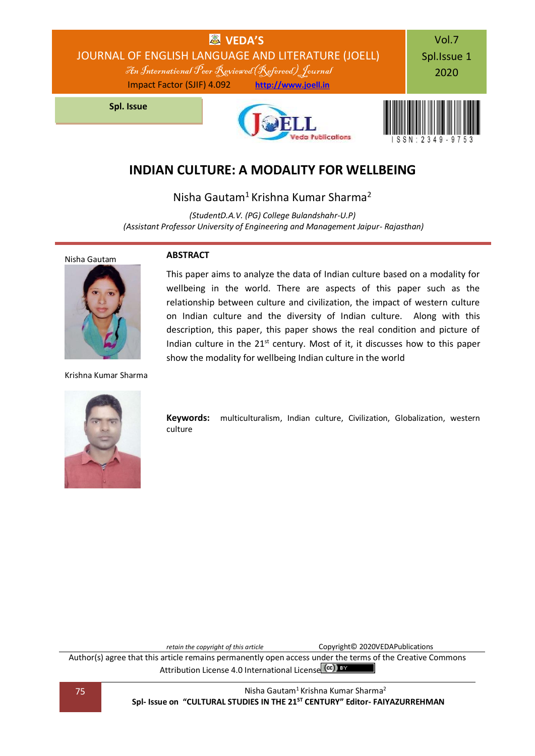

# **INDIAN CULTURE: A MODALITY FOR WELLBEING**

Nisha Gautam<sup>1</sup> Krishna Kumar Sharma<sup>2</sup>

*(StudentD.A.V. (PG) College Bulandshahr-U.P) (Assistant Professor University of Engineering and Management Jaipur- Rajasthan)*

**ABSTRACT**



Krishna Kumar Sharma

wellbeing in the world. There are aspects of this paper such as the relationship between culture and civilization, the impact of western culture on Indian culture and the diversity of Indian culture. Along with this description, this paper, this paper shows the real condition and picture of Indian culture in the  $21^{st}$  century. Most of it, it discusses how to this paper show the modality for wellbeing Indian culture in the world

This paper aims to analyze the data of Indian culture based on a modality for

**Keywords:** multiculturalism, Indian culture, Civilization, Globalization, western culture

*retain the copyright of this article* Copyright© 2020VEDAPublications

Author(s) agree that this article remains permanently open access under the terms of the Creative Commons Attribution Lic[e](http://creativecommons.org/licenses/by/4.0/)nse 4.0 International License (CC) BY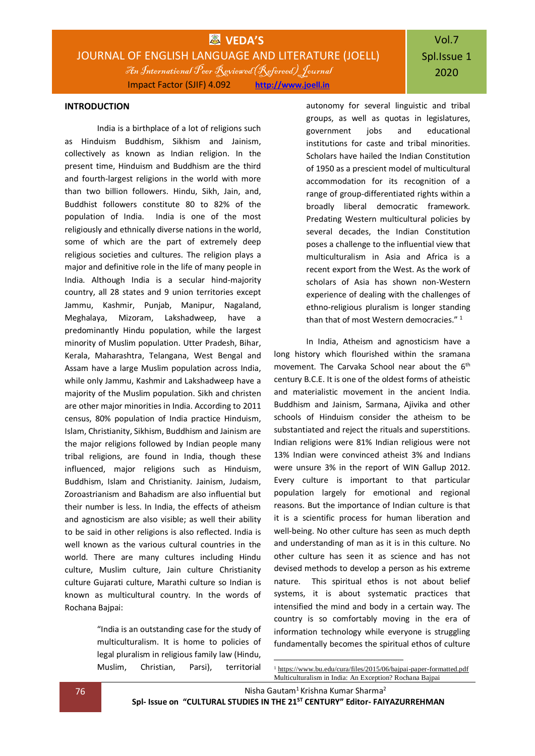# Vol.7 Spl.Issue 1 2020

#### **INTRODUCTION**

India is a birthplace of a lot of religions such as Hinduism Buddhism, Sikhism and Jainism, collectively as known as Indian religion. In the present time, Hinduism and Buddhism are the third and fourth-largest religions in the world with more than two billion followers. Hindu, Sikh, Jain, and, Buddhist followers constitute 80 to 82% of the population of India. India is one of the most religiously and ethnically diverse nations in the world, some of which are the part of extremely deep religious societies and cultures. The religion plays a major and definitive role in the life of many people in India. Although India is a secular hind-majority country, all 28 states and 9 union territories except Jammu, Kashmir, Punjab, Manipur, Nagaland, Meghalaya, Mizoram, Lakshadweep, have a predominantly Hindu population, while the largest minority of Muslim population. Utter Pradesh, Bihar, Kerala, Maharashtra, Telangana, West Bengal and Assam have a large Muslim population across India, while only Jammu, Kashmir and Lakshadweep have a majority of the Muslim population. Sikh and christen are other major minorities in India. According to 2011 census, 80% population of India practice Hinduism, Islam, Christianity, Sikhism, Buddhism and Jainism are the major religions followed by Indian people many tribal religions, are found in India, though these influenced, major religions such as Hinduism, Buddhism, Islam and Christianity. Jainism, Judaism, Zoroastrianism and Bahadism are also influential but their number is less. In India, the effects of atheism and agnosticism are also visible; as well their ability to be said in other religions is also reflected. India is well known as the various cultural countries in the world. There are many cultures including Hindu culture, Muslim culture, Jain culture Christianity culture Gujarati culture, Marathi culture so Indian is known as multicultural country. In the words of Rochana Bajpai:

> "India is an outstanding case for the study of multiculturalism. It is home to policies of legal pluralism in religious family law (Hindu, Muslim, Christian, Parsi), territorial

autonomy for several linguistic and tribal groups, as well as quotas in legislatures, government jobs and educational institutions for caste and tribal minorities. Scholars have hailed the Indian Constitution of 1950 as a prescient model of multicultural accommodation for its recognition of a range of group-differentiated rights within a broadly liberal democratic framework. Predating Western multicultural policies by several decades, the Indian Constitution poses a challenge to the influential view that multiculturalism in Asia and Africa is a recent export from the West. As the work of scholars of Asia has shown non-Western experience of dealing with the challenges of ethno-religious pluralism is longer standing than that of most Western democracies."<sup>1</sup>

In India, Atheism and agnosticism have a long history which flourished within the sramana movement. The Carvaka School near about the 6<sup>th</sup> century B.C.E. It is one of the oldest forms of atheistic and materialistic movement in the ancient India. Buddhism and Jainism, Sarmana, Ajivika and other schools of Hinduism consider the atheism to be substantiated and reject the rituals and superstitions. Indian religions were 81% Indian religious were not 13% Indian were convinced atheist 3% and Indians were unsure 3% in the report of WIN Gallup 2012. Every culture is important to that particular population largely for emotional and regional reasons. But the importance of Indian culture is that it is a scientific process for human liberation and well-being. No other culture has seen as much depth and understanding of man as it is in this culture. No other culture has seen it as science and has not devised methods to develop a person as his extreme nature. This spiritual ethos is not about belief systems, it is about systematic practices that intensified the mind and body in a certain way. The country is so comfortably moving in the era of information technology while everyone is struggling fundamentally becomes the spiritual ethos of culture

**76 Nisha Gautam<sup>1</sup> Krishna Kumar Sharma**<sup>2</sup>

**Spl- Issue on "CULTURAL STUDIES IN THE 21ST CENTURY" Editor- FAIYAZURREHMAN**

1

<sup>&</sup>lt;sup>1</sup> <https://www.bu.edu/cura/files/2015/06/bajpai-paper-formatted.pdf> Multiculturalism in India: An Exception? Rochana Bajpai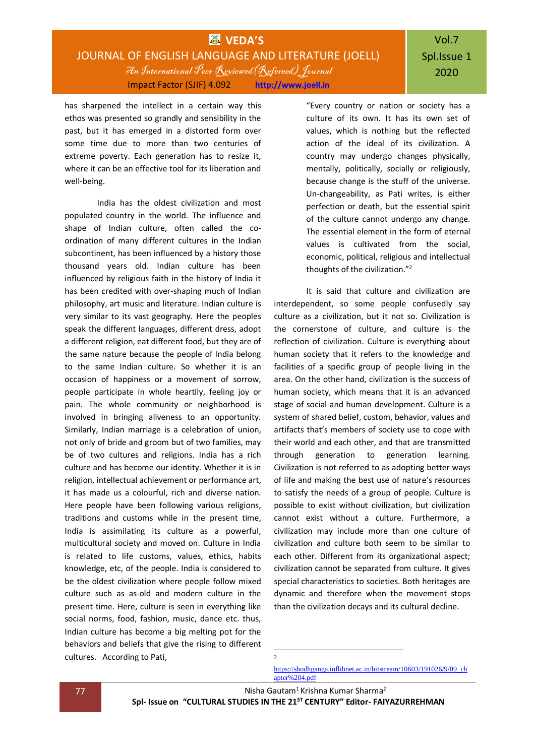has sharpened the intellect in a certain way this ethos was presented so grandly and sensibility in the past, but it has emerged in a distorted form over some time due to more than two centuries of extreme poverty. Each generation has to resize it, where it can be an effective tool for its liberation and well-being.

India has the oldest civilization and most populated country in the world. The influence and shape of Indian culture, often called the coordination of many different cultures in the Indian subcontinent, has been influenced by a history those thousand years old. Indian culture has been influenced by religious faith in the history of India it has been credited with over-shaping much of Indian philosophy, art music and literature. Indian culture is very similar to its vast geography. Here the peoples speak the different languages, different dress, adopt a different religion, eat different food, but they are of the same nature because the people of India belong to the same Indian culture. So whether it is an occasion of happiness or a movement of sorrow, people participate in whole heartily, feeling joy or pain. The whole community or neighborhood is involved in bringing aliveness to an opportunity. Similarly, Indian marriage is a celebration of union, not only of bride and groom but of two families, may be of two cultures and religions. India has a rich culture and has become our identity. Whether it is in religion, intellectual achievement or performance art, it has made us a colourful, rich and diverse nation. Here people have been following various religions, traditions and customs while in the present time, India is assimilating its culture as a powerful, multicultural society and moved on. Culture in India is related to life customs, values, ethics, habits knowledge, etc, of the people. India is considered to be the oldest civilization where people follow mixed culture such as as-old and modern culture in the present time. Here, culture is seen in everything like social norms, food, fashion, music, dance etc. thus, Indian culture has become a big melting pot for the behaviors and beliefs that give the rising to different cultures. According to Pati,

"Every country or nation or society has a culture of its own. It has its own set of values, which is nothing but the reflected action of the ideal of its civilization. A country may undergo changes physically, mentally, politically, socially or religiously, because change is the stuff of the universe. Un-changeability, as Pati writes, is either perfection or death, but the essential spirit of the culture cannot undergo any change. The essential element in the form of eternal values is cultivated from the social, economic, political, religious and intellectual thoughts of the civilization."<sup>2</sup>

It is said that culture and civilization are interdependent, so some people confusedly say culture as a civilization, but it not so. Civilization is the cornerstone of culture, and culture is the reflection of civilization. Culture is everything about human society that it refers to the knowledge and facilities of a specific group of people living in the area. On the other hand, civilization is the success of human society, which means that it is an advanced stage of social and human development. Culture is a system of shared belief, custom, behavior, values and artifacts that's members of society use to cope with their world and each other, and that are transmitted through generation to generation learning. Civilization is not referred to as adopting better ways of life and making the best use of nature's resources to satisfy the needs of a group of people. Culture is possible to exist without civilization, but civilization cannot exist without a culture. Furthermore, a civilization may include more than one culture of civilization and culture both seem to be similar to each other. Different from its organizational aspect; civilization cannot be separated from culture. It gives special characteristics to societies. Both heritages are dynamic and therefore when the movement stops than the civilization decays and its cultural decline.

[https://shodhganga.inflibnet.ac.in/bitstream/10603/191026/9/09\\_ch](https://shodhganga.inflibnet.ac.in/bitstream/10603/191026/9/09_chapter%204.pdf) [apter%204.pdf](https://shodhganga.inflibnet.ac.in/bitstream/10603/191026/9/09_chapter%204.pdf)

**77 Nisha Gautam<sup>1</sup> Krishna Kumar Sharma**<sup>2</sup>

 $\frac{1}{2}$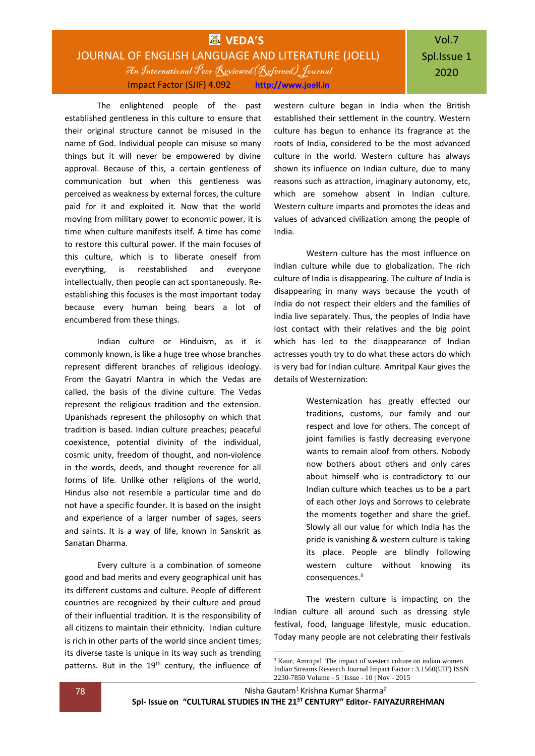## **WAS** VEDA'S JOURNAL OF ENGLISH LANGUAGE AND LITERATURE (JOELL) An International Peer Reviewed(Refereed) Journal Impact Factor (SJIF) 4.092 **[http://www.joell.in](http://www.joell.in/)**

The enlightened people of the past established gentleness in this culture to ensure that their original structure cannot be misused in the name of God. Individual people can misuse so many things but it will never be empowered by divine approval. Because of this, a certain gentleness of communication but when this gentleness was perceived as weakness by external forces, the culture paid for it and exploited it. Now that the world moving from military power to economic power, it is time when culture manifests itself. A time has come to restore this cultural power. If the main focuses of this culture, which is to liberate oneself from everything, is reestablished and everyone intellectually, then people can act spontaneously. Reestablishing this focuses is the most important today because every human being bears a lot of encumbered from these things.

Indian culture or Hinduism, as it is commonly known, is like a huge tree whose branches represent different branches of religious ideology. From the Gayatri Mantra in which the Vedas are called, the basis of the divine culture. The Vedas represent the religious tradition and the extension. Upanishads represent the philosophy on which that tradition is based. Indian culture preaches; peaceful coexistence, potential divinity of the individual, cosmic unity, freedom of thought, and non-violence in the words, deeds, and thought reverence for all forms of life. Unlike other religions of the world, Hindus also not resemble a particular time and do not have a specific founder. It is based on the insight and experience of a larger number of sages, seers and saints. It is a way of life, known in Sanskrit as Sanatan Dharma.

Every culture is a combination of someone good and bad merits and every geographical unit has its different customs and culture. People of different countries are recognized by their culture and proud of their influential tradition. It is the responsibility of all citizens to maintain their ethnicity. Indian culture is rich in other parts of the world since ancient times; its diverse taste is unique in its way such as trending patterns. But in the 19<sup>th</sup> century, the influence of

western culture began in India when the British established their settlement in the country. Western culture has begun to enhance its fragrance at the roots of India, considered to be the most advanced culture in the world. Western culture has always shown its influence on Indian culture, due to many reasons such as attraction, imaginary autonomy, etc, which are somehow absent in Indian culture. Western culture imparts and promotes the ideas and values of advanced civilization among the people of India.

Western culture has the most influence on Indian culture while due to globalization. The rich culture of India is disappearing. The culture of India is disappearing in many ways because the youth of India do not respect their elders and the families of India live separately. Thus, the peoples of India have lost contact with their relatives and the big point which has led to the disappearance of Indian actresses youth try to do what these actors do which is very bad for Indian culture. Amritpal Kaur gives the details of Westernization:

> Westernization has greatly effected our traditions, customs, our family and our respect and love for others. The concept of joint families is fastly decreasing everyone wants to remain aloof from others. Nobody now bothers about others and only cares about himself who is contradictory to our Indian culture which teaches us to be a part of each other Joys and Sorrows to celebrate the moments together and share the grief. Slowly all our value for which India has the pride is vanishing & western culture is taking its place. People are blindly following western culture without knowing its consequences.<sup>3</sup>

The western culture is impacting on the Indian culture all around such as dressing style festival, food, language lifestyle, music education. Today many people are not celebrating their festivals

**78 Nisha Gautam<sup>1</sup> Krishna Kumar Sharma**<sup>2</sup> **Spl- Issue on "CULTURAL STUDIES IN THE 21ST CENTURY" Editor- FAIYAZURREHMAN**

1

<sup>&</sup>lt;sup>3</sup> Kaur, Amritpal The impact of western culture on indian women Indian Streams Research Journal Impact Factor : 3.1560(UIF) ISSN 2230-7850 Volume - 5 | Issue - 10 | Nov - 2015